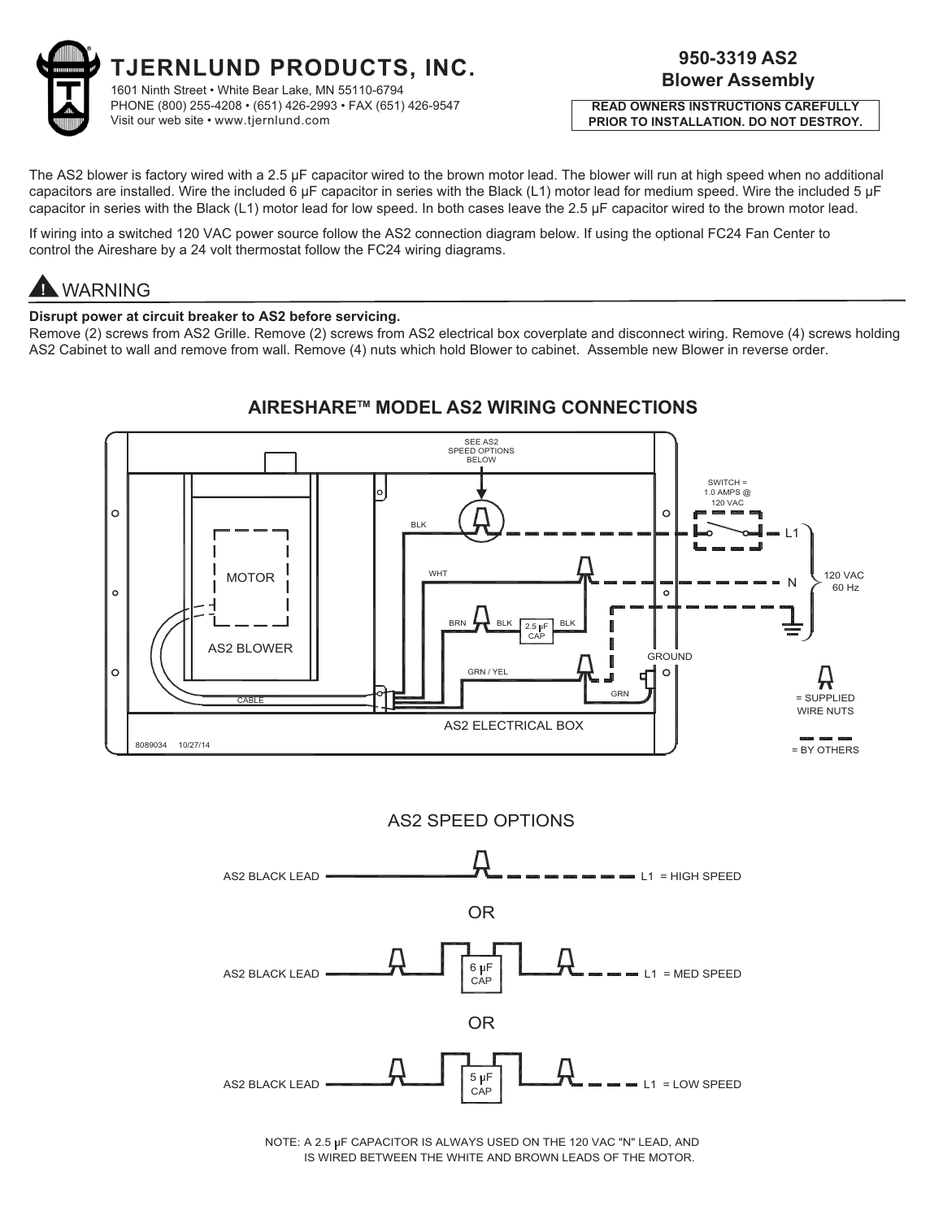

**PRIOR TO INSTALLATION. DO NOT DESTROY. PRIOR TO INSTALLATION. DO NOT DESTROY. READ OWNERS INSTRUCTIONS CAREFULLY** 

The AS2 blower is factory wired with a 2.5 µF capacitor wired to the brown motor lead. The blower will run at high speed when no additional capacitors are installed. Wire the included 6 μF capacitor in series with the Black (L1) motor lead for medium speed. Wire the included 5 µF capacitor in series with the Black (L1) motor lead for low speed. In both cases leave the 2.5 µF capacitor wired to the brown motor lead.

If wiring into a switched 120 VAC power source follow the AS2 connection diagram below. If using the optional FC24 Fan Center to control the Aireshare by a 24 volt thermostat follow the FC24 wiring diagrams.

**1 WARNING**<br>Disrupt power at circuit breaker to AS2 before servicing.

**Disrupt power at circuit breaker to AS2 before servicing.**  Remove (2) screws from AS2 Grille. Remove (2) screws from AS2 electrical box coverplate and disconnect wiring. Remove (4) screws holding AS2 Cabinet to wall and remove from wall. Remove (4) nuts which hold Blower to cabinet. Assemble new Blower in reverse order.



AS2 SPEED OPTIONS



IS WIRED BETWEEN THE WHITE AND BROWN LEADS OF THE MOTOR. NOTE: A 2.5 uF CAPACITOR IS ALWAYS USED ON THE 120 VAC "N" LEAD, AND